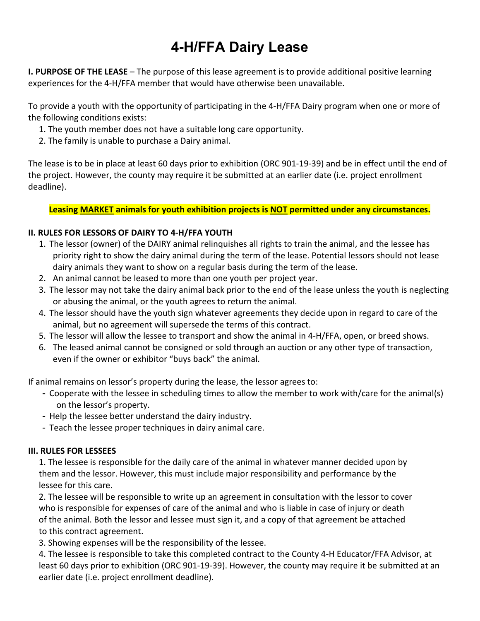## **4-H/FFA Dairy Lease**

**I. PURPOSE OF THE LEASE** – The purpose of this lease agreement is to provide additional positive learning experiences for the 4-H/FFA member that would have otherwise been unavailable.

To provide a youth with the opportunity of participating in the 4-H/FFA Dairy program when one or more of the following conditions exists:

- 1. The youth member does not have a suitable long care opportunity.
- 2. The family is unable to purchase a Dairy animal.

The lease is to be in place at least 60 days prior to exhibition (ORC 901-19-39) and be in effect until the end of the project. However, the county may require it be submitted at an earlier date (i.e. project enrollment deadline).

**Leasing MARKET animals for youth exhibition projects is NOT permitted under any circumstances.**

## **II. RULES FOR LESSORS OF DAIRY TO 4-H/FFA YOUTH**

- 1. The lessor (owner) of the DAIRY animal relinquishes all rights to train the animal, and the lessee has priority right to show the dairy animal during the term of the lease. Potential lessors should not lease dairy animals they want to show on a regular basis during the term of the lease.
- 2. An animal cannot be leased to more than one youth per project year.
- 3. The lessor may not take the dairy animal back prior to the end of the lease unless the youth is neglecting or abusing the animal, or the youth agrees to return the animal.
- 4. The lessor should have the youth sign whatever agreements they decide upon in regard to care of the animal, but no agreement will supersede the terms of this contract.
- 5. The lessor will allow the lessee to transport and show the animal in 4-H/FFA, open, or breed shows.
- 6. The leased animal cannot be consigned or sold through an auction or any other type of transaction, even if the owner or exhibitor "buys back" the animal.

If animal remains on lessor's property during the lease, the lessor agrees to:

- Cooperate with the lessee in scheduling times to allow the member to work with/care for the animal(s) on the lessor's property.
- Help the lessee better understand the dairy industry.
- Teach the lessee proper techniques in dairy animal care.

## **III. RULES FOR LESSEES**

1. The lessee is responsible for the daily care of the animal in whatever manner decided upon by them and the lessor. However, this must include major responsibility and performance by the lessee for this care.

2. The lessee will be responsible to write up an agreement in consultation with the lessor to cover who is responsible for expenses of care of the animal and who is liable in case of injury or death of the animal. Both the lessor and lessee must sign it, and a copy of that agreement be attached to this contract agreement.

3. Showing expenses will be the responsibility of the lessee.

4. The lessee is responsible to take this completed contract to the County 4-H Educator/FFA Advisor, at least 60 days prior to exhibition (ORC 901-19-39). However, the county may require it be submitted at an earlier date (i.e. project enrollment deadline).